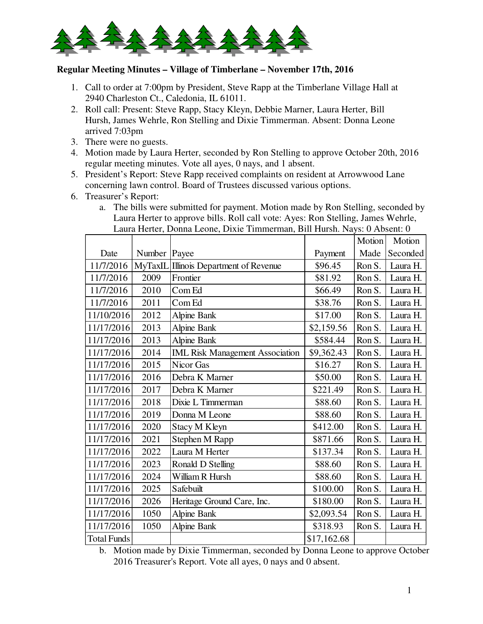

## **Regular Meeting Minutes – Village of Timberlane – November 17th, 2016**

- 1. Call to order at 7:00pm by President, Steve Rapp at the Timberlane Village Hall at 2940 Charleston Ct., Caledonia, IL 61011.
- 2. Roll call: Present: Steve Rapp, Stacy Kleyn, Debbie Marner, Laura Herter, Bill Hursh, James Wehrle, Ron Stelling and Dixie Timmerman. Absent: Donna Leone arrived 7:03pm
- 3. There were no guests.
- 4. Motion made by Laura Herter, seconded by Ron Stelling to approve October 20th, 2016 regular meeting minutes. Vote all ayes, 0 nays, and 1 absent.
- 5. President's Report: Steve Rapp received complaints on resident at Arrowwood Lane concerning lawn control. Board of Trustees discussed various options.
- 6. Treasurer's Report:
	- a. The bills were submitted for payment. Motion made by Ron Stelling, seconded by Laura Herter to approve bills. Roll call vote: Ayes: Ron Stelling, James Wehrle, Laura Herter, Donna Leone, Dixie Timmerman, Bill Hursh. Nays: 0 Absent: 0

|                    |         |                                        |             | Motion | Motion   |
|--------------------|---------|----------------------------------------|-------------|--------|----------|
| Date               | Number  | Payee                                  | Payment     | Made   | Seconded |
| 11/7/2016          | MyTaxIL | Illinois Department of Revenue         | \$96.45     | Ron S. | Laura H. |
| 11/7/2016          | 2009    | Frontier                               | \$81.92     | Ron S. | Laura H. |
| 11/7/2016          | 2010    | Com Ed                                 | \$66.49     | Ron S. | Laura H. |
| 11/7/2016          | 2011    | Com Ed                                 | \$38.76     | Ron S. | Laura H. |
| 11/10/2016         | 2012    | <b>Alpine Bank</b>                     | \$17.00     | Ron S. | Laura H. |
| 11/17/2016         | 2013    | <b>Alpine Bank</b>                     | \$2,159.56  | Ron S. | Laura H. |
| 11/17/2016         | 2013    | <b>Alpine Bank</b>                     | \$584.44    | Ron S. | Laura H. |
| 11/17/2016         | 2014    | <b>IML Risk Management Association</b> | \$9,362.43  | Ron S. | Laura H. |
| 11/17/2016         | 2015    | Nicor Gas                              | \$16.27     | Ron S. | Laura H. |
| 11/17/2016         | 2016    | Debra K Marner                         | \$50.00     | Ron S. | Laura H. |
| 11/17/2016         | 2017    | Debra K Marner                         | \$221.49    | Ron S. | Laura H. |
| 11/17/2016         | 2018    | Dixie L Timmerman                      | \$88.60     | Ron S. | Laura H. |
| 11/17/2016         | 2019    | Donna M Leone                          | \$88.60     | Ron S. | Laura H. |
| 11/17/2016         | 2020    | Stacy M Kleyn                          | \$412.00    | Ron S. | Laura H. |
| 11/17/2016         | 2021    | Stephen M Rapp                         | \$871.66    | Ron S. | Laura H. |
| 11/17/2016         | 2022    | Laura M Herter                         | \$137.34    | Ron S. | Laura H. |
| 11/17/2016         | 2023    | Ronald D Stelling                      | \$88.60     | Ron S. | Laura H. |
| 11/17/2016         | 2024    | William R Hursh                        | \$88.60     | Ron S. | Laura H. |
| 11/17/2016         | 2025    | Safebuilt                              | \$100.00    | Ron S. | Laura H. |
| 11/17/2016         | 2026    | Heritage Ground Care, Inc.             | \$180.00    | Ron S. | Laura H. |
| 11/17/2016         | 1050    | <b>Alpine Bank</b>                     | \$2,093.54  | Ron S. | Laura H. |
| 11/17/2016         | 1050    | <b>Alpine Bank</b>                     | \$318.93    | Ron S. | Laura H. |
| <b>Total Funds</b> |         |                                        | \$17,162.68 |        |          |

b. Motion made by Dixie Timmerman, seconded by Donna Leone to approve October 2016 Treasurer's Report. Vote all ayes, 0 nays and 0 absent.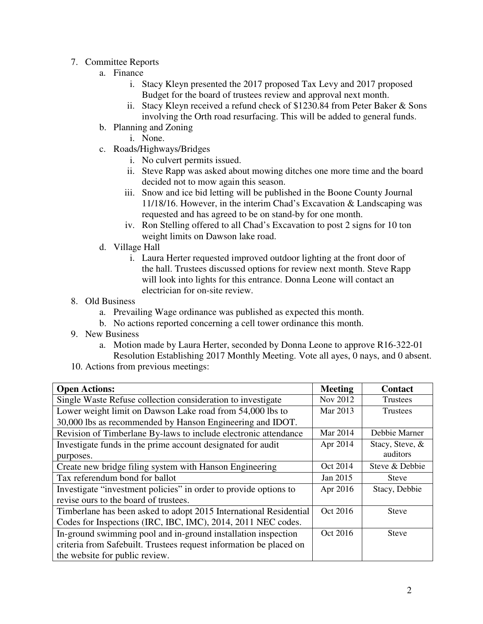- 7. Committee Reports
	- a. Finance
		- i. Stacy Kleyn presented the 2017 proposed Tax Levy and 2017 proposed Budget for the board of trustees review and approval next month.
		- ii. Stacy Kleyn received a refund check of \$1230.84 from Peter Baker & Sons involving the Orth road resurfacing. This will be added to general funds.
	- b. Planning and Zoning
		- i. None.
	- c. Roads/Highways/Bridges
		- i. No culvert permits issued.
		- ii. Steve Rapp was asked about mowing ditches one more time and the board decided not to mow again this season.
		- iii. Snow and ice bid letting will be published in the Boone County Journal 11/18/16. However, in the interim Chad's Excavation & Landscaping was requested and has agreed to be on stand-by for one month.
		- iv. Ron Stelling offered to all Chad's Excavation to post 2 signs for 10 ton weight limits on Dawson lake road.
	- d. Village Hall
		- i. Laura Herter requested improved outdoor lighting at the front door of the hall. Trustees discussed options for review next month. Steve Rapp will look into lights for this entrance. Donna Leone will contact an electrician for on-site review.
- 8. Old Business
	- a. Prevailing Wage ordinance was published as expected this month.
	- b. No actions reported concerning a cell tower ordinance this month.
- 9. New Business
	- a. Motion made by Laura Herter, seconded by Donna Leone to approve R16-322-01 Resolution Establishing 2017 Monthly Meeting. Vote all ayes, 0 nays, and 0 absent.
- 10. Actions from previous meetings:

| <b>Open Actions:</b>                                               | <b>Meeting</b> | <b>Contact</b>  |  |
|--------------------------------------------------------------------|----------------|-----------------|--|
| Single Waste Refuse collection consideration to investigate        | Nov 2012       | Trustees        |  |
| Lower weight limit on Dawson Lake road from 54,000 lbs to          | Mar 2013       | <b>Trustees</b> |  |
| 30,000 lbs as recommended by Hanson Engineering and IDOT.          |                |                 |  |
| Revision of Timberlane By-laws to include electronic attendance    | Mar 2014       | Debbie Marner   |  |
| Investigate funds in the prime account designated for audit        | Apr 2014       | Stacy, Steve, & |  |
| purposes.                                                          |                | auditors        |  |
| Create new bridge filing system with Hanson Engineering            | Oct 2014       | Steve & Debbie  |  |
| Tax referendum bond for ballot                                     | Jan 2015       | <b>Steve</b>    |  |
| Investigate "investment policies" in order to provide options to   | Apr 2016       | Stacy, Debbie   |  |
| revise ours to the board of trustees.                              |                |                 |  |
| Timberlane has been asked to adopt 2015 International Residential  | Oct 2016       | <b>Steve</b>    |  |
| Codes for Inspections (IRC, IBC, IMC), 2014, 2011 NEC codes.       |                |                 |  |
| In-ground swimming pool and in-ground installation inspection      | Oct 2016       | <b>Steve</b>    |  |
| criteria from Safebuilt. Trustees request information be placed on |                |                 |  |
| the website for public review.                                     |                |                 |  |